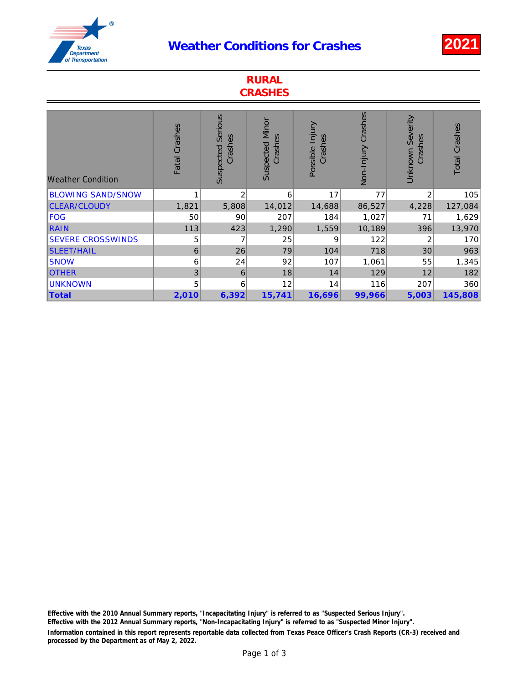## Weather Conditions for Crashes 2021



| <b>RURAL</b><br><b>CRASHES</b> |               |                                 |                                   |                            |                    |                                    |                      |
|--------------------------------|---------------|---------------------------------|-----------------------------------|----------------------------|--------------------|------------------------------------|----------------------|
| <b>Weather Condition</b>       | Fatal Crashes | Serious<br>Crashes<br>Suspected | <b>Suspected Minor</b><br>Crashes | Possible Injury<br>Crashes | Non-Injury Crashes | <b>Unknown Severity</b><br>Crashes | <b>Total Crashes</b> |
| <b>BLOWING SAND/SNOW</b>       |               | $\overline{2}$                  | 6                                 | 17                         | 77                 | 2                                  | 105                  |
| CLEAR/CLOUDY                   | 1,821         | 5,808                           | 14,012                            | 14,688                     | 86,527             | 4,228                              | 127,084              |
| <b>FOG</b>                     | 50            | 90                              | 207                               | 184                        | 1,027              | 71                                 | 1,629                |
| RAIN                           | 113           | 423                             | 1,290                             | 1,559                      | 10,189             | 396                                | 13,970               |
| <b>SEVERE CROSSWINDS</b>       | 5             |                                 | 25                                | 9                          | 122                | 2                                  | 170                  |
| <b>SLEET/HAIL</b>              | 6             | 26                              | 79                                | 104                        | 718                | 30                                 | 963                  |
| <b>SNOW</b>                    | 6             | 24                              | 92                                | 107                        | 1,061              | 55                                 | 1,345                |
| <b>OTHER</b>                   | 3             | 6                               | 18                                | 14                         | 129                | 12                                 | 182                  |
| <b>UNKNOWN</b>                 | 5             | 6                               | 12                                | 14                         | 116                | 207                                | 360                  |
| Total                          | 2,010         | 6,392                           | 15,741                            | 16,696                     | 99,966             | 5,003                              | 145,808              |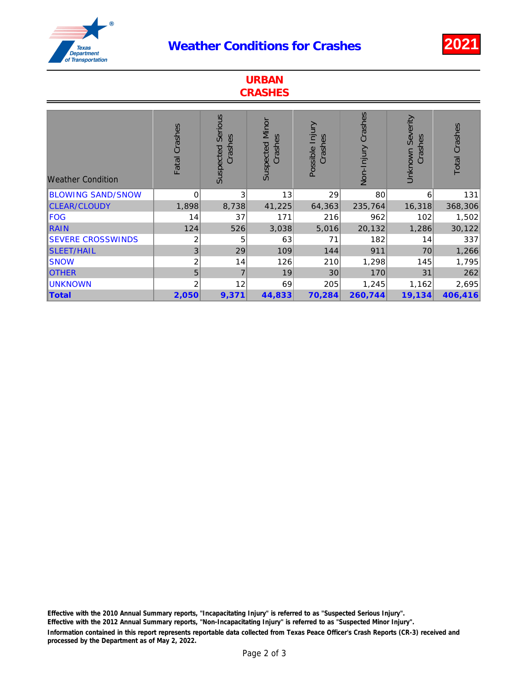## Weather Conditions for Crashes 2021



| <b>URBAN</b><br><b>CRASHES</b> |                |                                 |                                   |                            |                    |                                    |                      |
|--------------------------------|----------------|---------------------------------|-----------------------------------|----------------------------|--------------------|------------------------------------|----------------------|
| <b>Weather Condition</b>       | Fatal Crashes  | Serious<br>Crashes<br>Suspected | <b>Suspected Minor</b><br>Crashes | Possible Injury<br>Crashes | Non-Injury Crashes | <b>Unknown Severity</b><br>Crashes | <b>Total Crashes</b> |
| <b>BLOWING SAND/SNOW</b>       | $\mathbf 0$    | 3                               | 13                                | 29                         | 80                 | 6                                  | 131                  |
| <b>CLEAR/CLOUDY</b>            | 1,898          | 8,738                           | 41,225                            | 64,363                     | 235,764            | 16,318                             | 368,306              |
| <b>FOG</b>                     | 14             | 37                              | 171                               | 216                        | 962                | 102                                | 1,502                |
| <b>RAIN</b>                    | 124            | 526                             | 3,038                             | 5,016                      | 20,132             | 1,286                              | 30,122               |
| <b>SEVERE CROSSWINDS</b>       | 2              | 5                               | 63                                | 71                         | 182                | 14                                 | 337                  |
| <b>SLEET/HAIL</b>              | 3              | 29                              | 109                               | 144                        | 911                | 70                                 | 1,266                |
| <b>SNOW</b>                    | $\overline{c}$ | 14                              | 126                               | 210                        | 1,298              | 145                                | 1,795                |
| <b>OTHER</b>                   | 5              | $\overline{7}$                  | 19                                | 30                         | 170                | 31                                 | 262                  |
| <b>UNKNOWN</b>                 | 2              | 12                              | 69                                | 205                        | 1,245              | 1,162                              | 2,695                |
| <b>Total</b>                   | 2,050          | 9,371                           | 44,833                            | 70,284                     | 260,744            | 19,134                             | 406,416              |

Information contained in this report represents reportable data collected from Texas Peace Officer's Crash Reports (CR-3) received and processed by the Department as of May 2, 2022. Effective with the 2010 Annual Summary reports, "Incapacitating Injury" is referred to as "Suspected Serious Injury". Effective with the 2012 Annual Summary reports, "Non-Incapacitating Injury" is referred to as "Suspected Minor Injury".